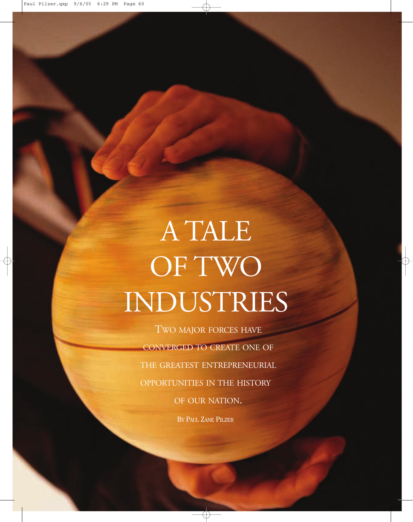# A TALE OF TWO INDUSTRIES

TWO MAJOR FORCES HAVE CONVERGED TO CREATE ONE OF THE GREATEST ENTREPRENEURIAL OPPORTUNITIES IN THE HISTORY OF OUR NATION. BY PAUL ZANE PILZER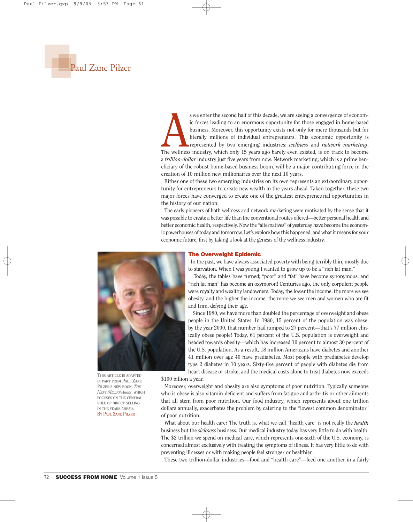

s we enter the second half of this decade, we are seeing a convergence of economic forces leading to an enormous opportunity for those engaged in home-based business. Moreover, this opportunity exists not only for mere tho s we enter the second half of this decade, we are seeing a convergence of economic forces leading to an enormous opportunity for those engaged in home-based business. Moreover, this opportunity exists not only for mere thousands but for literally millions of individual entrepreneurs. This economic opportunity is represented by two emerging industries: *wellness* and *network marketing*. a *trillion-dollar* industry just five years from now. Network marketing, which is a prime beneficiary of the robust home-based business boom, will be a major contributing force in the creation of 10 million new millionaires over the next 10 years.

Either one of these two emerging industries on its own represents an extraordinary opportunity for entrepreneurs to create new wealth in the years ahead. Taken together, these two major forces have converged to create one of the greatest entrepreneurial opportunities in the history of our nation.

The early pioneers of both wellness and network marketing were motivated by the sense that it was possible to create a better life than the conventional routes offered—better personal health and better economic health, respectively. Now the "alternatives" of yesterday have become the economic powerhouses of today and tomorrow. Let's explore how this happened, and what it means for your economic future, first by taking a look at the genesis of the wellness industry.



**THIS ARTICLE IS ADAPTED IN PART FROM PAUL ZANE PILZER'S NEW BOOK,** *THE NEXT MILLIONAIRES***, WHICH FOCUSES ON THE CENTRAL ROLE OF DIRECT SELLING IN THE YEARS AHEAD.** BY PAUL ZANE PILZER

#### **The Overweight Epidemic**

In the past, we have always associated poverty with being terribly thin, mostly due to starvation. When I was young I wanted to grow up to be a "rich fat man."

Today, the tables have turned; "poor" and "fat" have become synonymous, and "rich fat man" has become an oxymoron! Centuries ago, the only corpulent people were royalty and wealthy landowners. Today, the lower the income, the more we see obesity, and the higher the income, the more we see men and women who are fit and trim, defying their age.

Since 1980, we have more than doubled the percentage of overweight and obese people in the United States. In 1980, 15 percent of the population was obese; by the year 2000, that number had jumped to 27 percent—that's 77 million clinically obese people! Today, 61 percent of the U.S. population is overweight and headed towards obesity—which has increased 10 percent to almost 30 percent of the U.S. population. As a result, 18 million Americans have diabetes and another 41 million over age 40 have prediabetes. Most people with prediabetes develop type 2 diabetes in 10 years. Sixty-five percent of people with diabetes die from heart disease or stroke, and the medical costs alone to treat diabetes now exceeds

\$100 billion a year.

Moreover, overweight and obesity are also symptoms of poor nutrition. Typically someone who is obese is also vitamin-deficient and suffers from fatigue and arthritis or other ailments that all stem from poor nutrition. Our food industry, which represents about one trillion dollars annually, exacerbates the problem by catering to the "lowest common denominator" of poor nutrition.

What about our health care? The truth is, what we call "health care" is not really the *health* business but the *sickness* business. Our medical industry today has very little to do with health. The \$2 trillion we spend on medical care, which represents one-sixth of the U.S. economy, is concerned almost exclusively with treating the symptoms of illness. It has very little to do with preventing illnesses or with making people feel stronger or healthier.

These two trillion-dollar industries—food and "health care"—feed one another in a fairly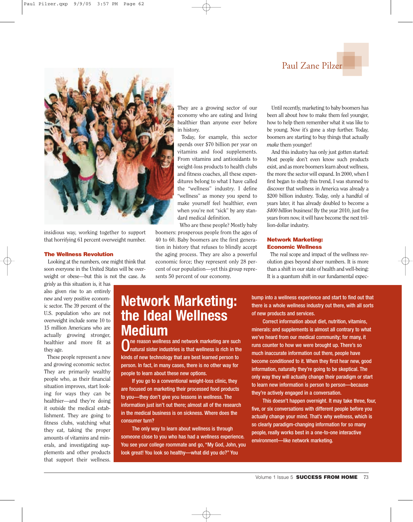### Paul Zane Pilzer



insidious way, working together to support that horrifying 61 percent overweight number.

#### **The Wellness Revolution**

Looking at the numbers, one might think that soon everyone in the United States will be overweight or obese—but this is not the case. As

grisly as this situation is, it has also given rise to an entirely new and very positive economic sector. The 39 percent of the U.S. population who are not overweight include some 10 to 15 million Americans who are actually growing stronger, healthier and more fit as they age.

These people represent a new and growing economic sector. They are primarily wealthy people who, as their financial situation improves, start looking for ways they can be healthier—and they're doing it outside the medical establishment. They are going to fitness clubs, watching what they eat, taking the proper amounts of vitamins and minerals, and investigating supplements and other products that support their wellness.

They are a growing sector of our economy who are eating and living healthier than anyone ever before in history.

Today, for example, this sector spends over \$70 billion per year on vitamins and food supplements. From vitamins and antioxidants to weight-loss products to health clubs and fitness coaches, all these expenditures belong to what I have called the "wellness" industry. I define "wellness" as money you spend to make yourself feel healthier, even when you're not "sick" by any standard medical definition.

Who are these people? Mostly baby boomers: prosperous people from the ages of 40 to 60. Baby boomers are the first generation in history that refuses to blindly accept the aging process. They are also a powerful economic force; they represent only 28 percent of our population—yet this group represents 50 percent of our economy.

Until recently, marketing to baby boomers has been all about how to make them feel younger, how to help them remember what it was like to be young. Now it's gone a step further. Today, boomers are starting to buy things that actually *make* them younger!

And this industry has only just gotten started: Most people don't even know such products exist, and as more boomers learn about wellness, the more the sector will expand. In 2000, when I first began to study this trend, I was stunned to discover that wellness in America was already a \$200 billion industry. Today, only a handful of years later, it has already doubled to become a *\$400 billion* business! By the year 2010, just five years from now, it will have become the next trillion-dollar industry.

#### **Network Marketing: Economic Wellness**

The real scope and impact of the wellness revolution goes beyond sheer numbers. It is more than a shift in our state of health and well-being: It is a quantum shift in our fundamental expec-

## **Network Marketing: the Ideal Wellness Medium**

ne reason wellness and network marketing are such natural sister industries is that wellness is rich in the kinds of new technology that are best learned person to person. In fact, in many cases, there is no other way for people to learn about these new options.

If you go to a conventional weight-loss clinic, they are focused on marketing their processed food products to you—they don't give you lessons in wellness. The information just isn't out there; almost all of the research in the medical business is on sickness. Where does the consumer turn?

The only way to learn about wellness is through someone close to you who has had a wellness experience. You see your college roommate and go, "My God, John, you look great! You look so healthy—what did you do?" You

bump into a wellness experience and start to find out that there is a whole wellness industry out there, with all sorts of new products and services.

Correct information about diet, nutrition, vitamins, minerals: and supplements is almost all contrary to what we've heard from our medical community; for many, it runs counter to how we were brought up. There's so much inaccurate information out there, people have become conditioned to it. When they first hear new, good information, naturally they're going to be skeptical. The only way they will actually change their paradigm or start to learn new information is person to person—because they're actively engaged in a conversation.

This doesn't happen overnight. It may take three, four, five, or six conversations with different people before you actually change your mind. That's why wellness, which is so clearly paradigm-changing information for so many people, really works best in a one-to-one interactive environment—like network marketing.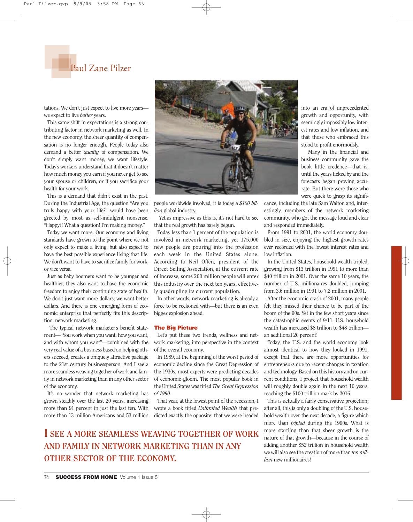

tations. We don't just expect to live more years we expect to live *better* years.

e expect to live *better* years.<br>This same shift in expectations is a strong contributing factor in network marketing as well. In the new economy, the sheer quantity of compensation is no longer enough. People today also demand a better *quality* of compensation. We don't simply want money, we want lifestyle. Today's workers understand that it doesn't matter how much money you earn if you never get to see your spouse or children, or if you sacrifice your health for your work.

This is a demand that didn't exist in the past. During the Industrial Age, the question "Are you truly happy with your life?" would have been greeted by most as self-indulgent nonsense. "Happy?! What a question! I'm making money."

Today we want more. Our economy and living standards have grown to the point where we not only expect to make a living, but also expect to have the best possible experience living that life. We don't want to have to sacrifice family for work, or vice versa.

Just as baby boomers want to be younger and healthier, they also want to have the economic freedom to enjoy their continuing state of health. We don't just want more dollars; we want better dollars. And there is one emerging form of economic enterprise that perfectly fits this description: network marketing.

The typical network marketer's benefit statement—"You work when you want, how you want, and with whom you want"—combined with the very real value of a business based on helping others succeed, creates a uniquely attractive package to the 21st century businessperson. And I see a more seamless weaving together of work and family in network marketing than in any other sector of the economy.

It's no wonder that network marketing has grown steadily over the last 20 years, increasing more than 91 percent in just the last ten. With more than 13 million Americans and 53 million



people worldwide involved, it is today a *\$100 billion* global industry.

Yet as impressive as this is, it's not hard to see that the real growth has barely begun.

Today less than 1 percent of the population is involved in network marketing, yet 175,000 new people are pouring into the profession each week in the United States alone. According to Neil Offen, president of the Direct Selling Association, at the current rate of increase, some 200 million people will enter this industry over the next ten years, effectively quadrupling its current population.

In other words, network marketing is already a force to be reckoned with—but there is an even bigger explosion ahead.

#### **The Big Picture**

Let's put these two trends, wellness and network marketing, into perspective in the context of the overall economy.

In 1989, at the beginning of the worst period of economic decline since the Great Depression of the 1930s, most experts were predicting decades of economic gloom. The most popular book in the United States was titled *The Great Depression of 1990.*

That year, at the lowest point of the recession, I wrote a book titled *Unlimited Wealth* that predicted exactly the opposite: that we were headed

**I SEE A MORE SEAMLESS WEAVING TOGETHER OF WORK AND FAMILY IN NETWORK MARKETING THAN IN ANY OTHER SECTOR OF THE ECONOMY.**

into an era of unprecedented growth and opportunity, with seemingly impossibly low interest rates and low inflation, and that those who embraced this stood to profit enormously.

Many in the financial and business community gave the book little credence—that is, until the years ticked by and the forecasts began proving accurate. But there were those who were quick to grasp its signifi-

cance, including the late Sam Walton and, interestingly, members of the network marketing community, who got the message loud and clear and responded immediately.

From 1991 to 2001, the world economy doubled in size, enjoying the highest growth rates ever recorded with the lowest interest rates and low inflation.

In the United States, household wealth tripled, growing from \$13 trillion in 1991 to more than \$40 trillion in 2001. Over the same 10 years, the number of U.S. millionaires doubled, jumping from 3.6 million in 1991 to 7.2 million in 2001.

After the economic crash of 2001, many people felt they missed their chance to be part of the boom of the 90s. Yet in the few short years since the catastrophic events of 9/11, U.S. household wealth has increased \$8 trillion to \$48 trillion an additional 20 percent!

Today, the U.S. and the world economy look almost identical to how they looked in 1991, except that there are more opportunities for entrepreneurs due to recent changes in taxation and technology. Based on this history and on current conditions, I project that household wealth will roughly double again in the next 10 years, reaching the \$100 trillion mark by 2016.

This is actually a fairly conservative projection; after all, this is only a doubling of the U.S. household wealth over the next decade, a figure which more than *tripled* during the 1990s. What is more startling than that sheer growth is the nature of that growth—because in the course of adding another \$52 trillion in household wealth we will also see the creation of more than *ten million* new millionaires!